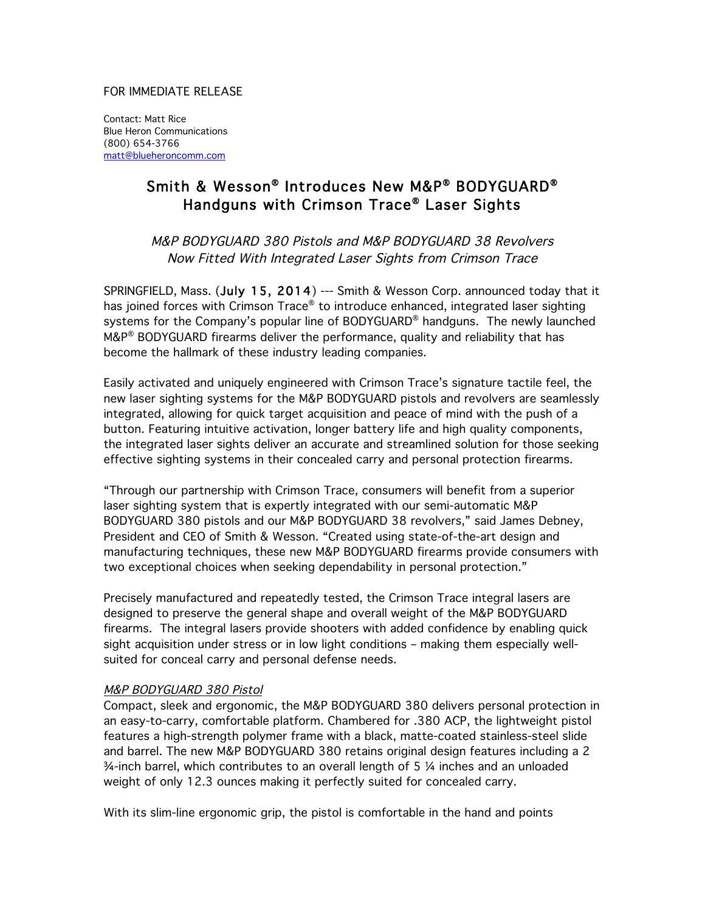### FOR IMMEDIATE RELEASE

Contact: Matt Rice Blue Heron Communications (800) 654-3766 matt@blueheroncomm.com

# Smith & Wesson® Introduces New M&P® BODYGUARD® Handguns with Crimson Trace® Laser Sights

M&P BODYGUARD 380 Pistols and M&P BODYGUARD 38 Revolvers Now Fitted With Integrated Laser Sights from Crimson Trace

SPRINGFIELD, Mass. (July 15, 2014) --- Smith & Wesson Corp. announced today that it has joined forces with Crimson Trace® to introduce enhanced, integrated laser sighting systems for the Company's popular line of BODYGUARD® handguns. The newly launched M&P® BODYGUARD firearms deliver the performance, quality and reliability that has become the hallmark of these industry leading companies.

Easily activated and uniquely engineered with Crimson Trace's signature tactile feel, the new laser sighting systems for the M&P BODYGUARD pistols and revolvers are seamlessly integrated, allowing for quick target acquisition and peace of mind with the push of a button. Featuring intuitive activation, longer battery life and high quality components, the integrated laser sights deliver an accurate and streamlined solution for those seeking effective sighting systems in their concealed carry and personal protection firearms.

"Through our partnership with Crimson Trace, consumers will benefit from a superior laser sighting system that is expertly integrated with our semi-automatic M&P BODYGUARD 380 pistols and our M&P BODYGUARD 38 revolvers," said James Debney, President and CEO of Smith & Wesson. "Created using state-of-the-art design and manufacturing techniques, these new M&P BODYGUARD firearms provide consumers with two exceptional choices when seeking dependability in personal protection."

Precisely manufactured and repeatedly tested, the Crimson Trace integral lasers are designed to preserve the general shape and overall weight of the M&P BODYGUARD firearms. The integral lasers provide shooters with added confidence by enabling quick sight acquisition under stress or in low light conditions – making them especially wellsuited for conceal carry and personal defense needs.

## M&P BODYGUARD 380 Pistol

Compact, sleek and ergonomic, the M&P BODYGUARD 380 delivers personal protection in an easy-to-carry, comfortable platform. Chambered for .380 ACP, the lightweight pistol features a high-strength polymer frame with a black, matte-coated stainless-steel slide and barrel. The new M&P BODYGUARD 380 retains original design features including a 2 ¾-inch barrel, which contributes to an overall length of 5 ¼ inches and an unloaded weight of only 12.3 ounces making it perfectly suited for concealed carry.

With its slim-line ergonomic grip, the pistol is comfortable in the hand and points